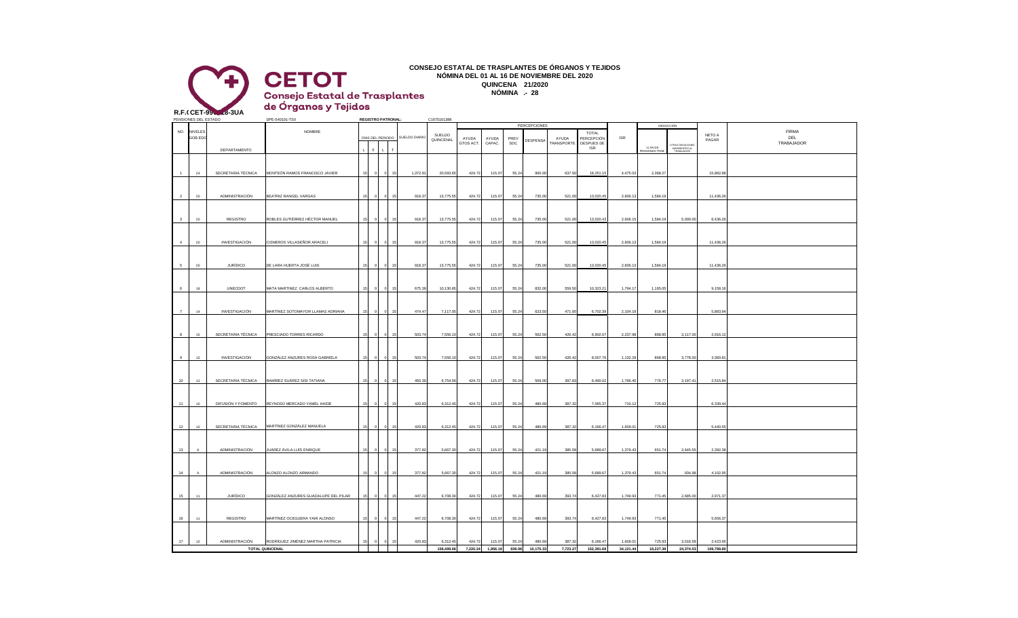

**CONSEJO ESTATAL DE TRASPLANTES DE ÓRGANOS Y TEJIDOS NÓMINA DEL 01 AL 16 DE NOVIEMBRE DEL 2020 QUINCENA 21/2020 NÓMINA .- 28**

| s | . |
|---|---|
|   |   |
|   |   |

|                         | PENSIONES DEL ESTADO |                    | DPE-540101-TS0                       | <b>REGISTRO PATRONAL:</b> |    |               | C1675161388         |                    |                 |                 | <b>PERCEPCIONES</b> |                     |                                   |                |                           |                                                  |                 |                                   |
|-------------------------|----------------------|--------------------|--------------------------------------|---------------------------|----|---------------|---------------------|--------------------|-----------------|-----------------|---------------------|---------------------|-----------------------------------|----------------|---------------------------|--------------------------------------------------|-----------------|-----------------------------------|
| NO.                     | NIVELE:<br>GOB EDO   |                    | NOMBRE                               | DÍAS DEL PERIODO          |    | SUELDO DIARIO | SUELDO<br>QUINCENAL | AYUDA<br>GTOS ACT. | AYUDA<br>CAPAC. | PREV<br>SOC     | DESPENSA            | AYUDA<br>TRANSPORTE | TOTAL<br>PERCEPCIÓN<br>DESPUES DE | $\textsf{ISR}$ |                           | DEDUCCIÓN                                        | NETO A<br>PAGAR | <b>FIRMA</b><br>DEL<br>TRABAJADOR |
|                         |                      | DEPARTAMENTO       |                                      | $\mathbf{F}$              |    |               |                     |                    |                 |                 |                     |                     | <b>ISR</b>                        |                | 11.5% DE<br>ENSIONES TRAB | OTRAS DEDUCIONES<br>INEHERENTES AL<br>TRABAJADOR |                 |                                   |
|                         | 24                   | SECRETARIA TÉCNICA | MONTEÓN RAMOS FRANCISCO JAVIER       |                           |    | 1,372.91      | 20,593.65           | 424.72             | 115.07          | 55.24           | 900.00              | 637.50              | 18,251.15                         | 4,475.03       | 2,368.27                  |                                                  | 15,882.88       |                                   |
|                         |                      |                    |                                      |                           |    |               |                     |                    |                 |                 |                     |                     |                                   |                |                           |                                                  |                 |                                   |
| $\overline{2}$          | 20                   | ADMINISTRACIÓN     | BEATRIZ RANGEL VARGAS                |                           |    | 918.37        | 13,775.55           | 424.72             | 115.07          | 55.24           | 735.00              | 521.00              | 13,020.45                         | 2,606.13       | 1,584.19                  |                                                  | 11,436.26       |                                   |
|                         |                      |                    |                                      |                           |    |               |                     |                    |                 |                 |                     |                     |                                   |                |                           |                                                  |                 |                                   |
| $\overline{\mathbf{3}}$ | $20\,$               | <b>REGISTRO</b>    | ROBLES GUTIÉRREZ HÉCTOR MANUEL       |                           |    | 918.37        | 13,775.55           | 424.72             | 115.07          | 55.24           | 735.00              | 521.00              | 13,020.43                         | 2,606.15       | 1,584.19                  | 5,000.00                                         | 6,436.26        |                                   |
|                         |                      |                    |                                      |                           |    |               |                     |                    |                 |                 |                     |                     |                                   |                |                           |                                                  |                 |                                   |
|                         |                      |                    |                                      |                           |    |               |                     |                    |                 |                 |                     |                     |                                   |                |                           |                                                  |                 |                                   |
| $\overline{4}$          | $20\,$               | INVESTIGACIÓN      | CISNEROS VILLASEÑOR ARACELI          |                           |    | 918.37        | 13,775.55           | 424.72             | 115.07          | 55.24           | 735.00              | 521.00              | 13,020.45                         | 2,606.13       | 1,584.19                  |                                                  | 11,436.26       |                                   |
|                         |                      |                    |                                      |                           |    |               |                     |                    |                 |                 |                     |                     |                                   |                |                           |                                                  |                 |                                   |
| $5^{\circ}$             | 20                   | <b>JURÍDICO</b>    | DE LARA HUERTA JOSÉ LUIS             |                           |    | 918.37        | 13,775.55           | 424.72             | 115.07          | 55.24           | 735.00              | 521.00              | 13,020.45                         | 2,606.13       | 1,584.19                  |                                                  | 11,436.26       |                                   |
|                         |                      |                    |                                      |                           |    |               |                     |                    |                 |                 |                     |                     |                                   |                |                           |                                                  |                 |                                   |
|                         |                      |                    |                                      |                           |    |               |                     |                    |                 |                 |                     |                     |                                   |                |                           |                                                  |                 |                                   |
| 6                       | 18                   | UNECDOT            | MATA MARTINEZ CARLOS ALBERTO         |                           |    | 675.39        | 10,130.85           | 424.72             | 115.07          | 55.24           | 832.00              | 559.50              | 10,323.21                         | 1,794.17       | 1,165.05                  |                                                  | 9,158.16        |                                   |
|                         |                      |                    |                                      |                           |    |               |                     |                    |                 |                 |                     |                     |                                   |                |                           |                                                  |                 |                                   |
| 7                       |                      |                    |                                      |                           |    |               |                     |                    |                 |                 |                     |                     |                                   |                |                           |                                                  |                 |                                   |
|                         | $14\,$               | INVESTIGACIÓN      | MARTÍNEZ SOTOMAYOR LLAMAS ADRIANA    |                           |    | 474.47        | 7,117.05            | 424.72             | 115.07          | 55.24           | 623.50              | 471.00              | 6,702.39                          | 2,104.19       | 818.46                    |                                                  | 5,883.94        |                                   |
|                         |                      |                    |                                      |                           |    |               |                     |                    |                 |                 |                     |                     |                                   |                |                           |                                                  |                 |                                   |
| 8                       | 15                   | SECRETARIA TÉCNICA | PRESCIADO TORRES RICARDO             |                           |    | 503.74        | 7,556.10            | 424.72             | 115.07          | 55.24           | 562.50              | 426.42              | 6,902.07                          | 2,237.9        | 868.95                    | 3,117.00                                         | 2,916.12        |                                   |
|                         |                      |                    |                                      |                           |    |               |                     |                    |                 |                 |                     |                     |                                   |                |                           |                                                  |                 |                                   |
|                         |                      |                    |                                      |                           |    |               |                     |                    |                 |                 |                     |                     |                                   |                |                           |                                                  |                 |                                   |
| 9                       | 15                   | INVESTIGACIÓN      | GONZÁLEZ ANZURES ROSA GABRIELA       |                           |    | 503.74        | 7,556.10            | 424.72             | 115.07          | 55.24           | 562.50              | 426.42              | 8,007.76                          | 1,132.29       | 868.95                    | 3,778.00                                         | 3,360.81        |                                   |
|                         |                      |                    |                                      |                           |    |               |                     |                    |                 |                 |                     |                     |                                   |                |                           |                                                  |                 |                                   |
| 10                      | 12                   | SECRETARIA TÉCNICA | RAMÍREZ SUÁREZ SISI TATIANA          | 15                        | 15 | 450.30        | 6,754.56            | 424.72             | 115.07          | 55.24           | 509.00              | 397.83              | 6,490.02                          | 1,766.40       | 776.77                    | 3,197.41                                         | 2,515.84        |                                   |
|                         |                      |                    |                                      |                           |    |               |                     |                    |                 |                 |                     |                     |                                   |                |                           |                                                  |                 |                                   |
|                         |                      |                    |                                      |                           |    |               |                     |                    |                 |                 |                     |                     |                                   |                |                           |                                                  |                 |                                   |
| $-11$                   | 10                   | DIFUSIÓN Y FOMENTO | REYNOSO MERCADO YAMEL HAIDE          | 15                        | 15 | 420.83        | 6,312.45            | 424.72             | 115.07          | 55.24           | 480.69              | 387.32              | 7,065.37                          | 710.12         | 725.93                    |                                                  | 6,339.44        |                                   |
|                         |                      |                    |                                      |                           |    |               |                     |                    |                 |                 |                     |                     |                                   |                |                           |                                                  |                 |                                   |
| 12                      | 10                   | SECRETARIA TÉCNICA | MARTÍNEZ GONZÁLEZ MANUELA            |                           |    | 420.83        | 6,312.45            | 424.72             | 115.07          | 55.24           | 480.69              | 387.32              | 6,166.47                          | 1,609.01       | 725.93                    |                                                  | 5,440.55        |                                   |
|                         |                      |                    |                                      |                           |    |               |                     |                    |                 |                 |                     |                     |                                   |                |                           |                                                  |                 |                                   |
|                         |                      |                    |                                      |                           |    |               |                     |                    |                 |                 |                     |                     |                                   |                |                           |                                                  |                 |                                   |
| 13                      | $\mathbf{q}$         | ADMINISTRACIÓN     | JUÁREZ ÁVILA LUÍS ENRIQUE            |                           |    | 377.82        | 5,667.30            | 424.72             | 115.07          | 55.24           | 421.19              | 385.58              | 5,689.67                          | 1,379.43       | 651.74                    | 2,645.55                                         | 2,392.38        |                                   |
|                         |                      |                    |                                      |                           |    |               |                     |                    |                 |                 |                     |                     |                                   |                |                           |                                                  |                 |                                   |
| 14                      | $\overline{9}$       | ADMINISTRACIÓN     | ALONZO ALONZO ARMANDO                |                           |    | 377.82        | 5,667.30            | 424.72             | 115.07          | 55.24           | 421.19              | 385.58              | 5,689.67                          | 1,379.43       | 651.74                    | 934.98                                           | 4,102.95        |                                   |
|                         |                      |                    |                                      |                           |    |               |                     |                    |                 |                 |                     |                     |                                   |                |                           |                                                  |                 |                                   |
|                         |                      |                    |                                      |                           |    |               |                     |                    |                 |                 |                     |                     |                                   |                |                           |                                                  |                 |                                   |
| 15                      | 11                   | JURÍDICO           | GONZÁLEZ ANZURES GUADALUPE DEL PILAR |                           |    | 447.22        | 6,708.30            | 424.72             | 115.07          | 55.24           | 480.69              | 393.74              | 6,427.83                          | 1,749.93       | 771.45                    | 2,685.00                                         | 2,971.37        |                                   |
|                         |                      |                    |                                      |                           |    |               |                     |                    |                 |                 |                     |                     |                                   |                |                           |                                                  |                 |                                   |
|                         |                      |                    |                                      |                           |    |               |                     |                    |                 |                 |                     |                     |                                   |                |                           |                                                  |                 |                                   |
| 16                      | 11                   | REGISTRO           | MARTÍNEZ OCEGUERA YAIR ALONSO        | 15                        |    | 447.22        | 6,708.30            | 424.72             | 115.07          | 55.24           | 480.69              | 393.74              | 6,427.83                          | 1,749.93       | 771.45                    |                                                  | 5,656.37        |                                   |
|                         |                      |                    |                                      |                           |    |               |                     |                    |                 |                 |                     |                     |                                   |                |                           |                                                  |                 |                                   |
| 17                      | 10                   | ADMINISTRACIÓN     | RODRÍGUEZ JIMÉNEZ MARTHA PATRICIA    |                           |    | 420.83        | 6,312.45            | 424.72             | 115.07          | 55.24           | 480.69              | 387.32              | 6,166.47                          | 1,609.01       | 725.93                    | 3,016.59                                         | 2,423.95        |                                   |
|                         |                      |                    | <b>TOTAL QUINCENAL</b>               |                           |    |               | 158,499.06          | 7,220.24           |                 | 1,956.19 939.08 | 10,175.33           | 7,723.27            | 152,391.68                        | 34,121.44      | 18,227.38                 | 24,374.53                                        | 109,789.80      |                                   |